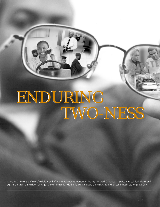# ENDURING TWO-NESS ENDURING TWO-NESS

*Lawrence D. Bobo is professor of sociology and Afro-American studies, Harvard University. Michael C. Dawson is professor of political science and department chair, University of Chicago. Devon Johnson is a visiting fellow at Harvard University and a Ph.D. candidate in sociology at UCLA.*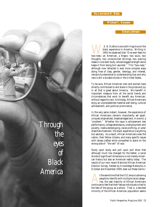### *By Lawrence D. Bobo*

*Michael C. Dawson*

*Devon Johnson*

W. E. B. DuBois's voice still rings true on the black experience in America. Writing in 1903 he observed that "One ever feels his two-ness—an American, a Negro; two souls, two black experience in America. Writing in 1903 he observed that "One ever feels his thoughts, two unreconciled strivings; two warring ideals in one dark body, whose dogged strength alone keeps it from being torn asunder." This "two-ness," although now refracted in ever more complex ways along lines of class, gender, ideology, and interest, remains fundamental to understanding how and why race is still a durable divide in the United States.

To be sure, African American men and women have directly contributed to and share in the pride and joy in all that is great about America. We benefit in important measure from all the social trends and circumstances that work to benefit any American, without regard to race. And today, African Americans enjoy an unprecedented material well-being, cultural achievement, and political prominence.

In the very same instant, however, the experience of African Americans remains importantly set apart, uniquely stigmatized, disadvantaged and, in a word, a "problem." Whether the issue is achievement test performance, college attendance, unemployment and poverty, media stereotyping, racial profiling, or voter disenfranchisement, the black experience is anything but salutary. As a result, African Americans view the nation, their fellow citizens, and many specific issues with lenses crafted while compelled to stand on the wrong side of "the veil" of race.

Study upon study and poll upon poll show that although much has changed for the better, a racial divide of significant dimensions is not merely American history but also an American reality today. The results of our own recent National African American Election Survey, fielded by Knowledge Networks in October and December 2000, bear out these claims.1

t the same time that the US Census is allowing people to identify with multiple racial categories, the vast majority of African Americans continues to feel that their fate as individuals is tied to the fate of the group as a whole. That is, a decided minority of the African American population seems

*Through the eyes of Black America*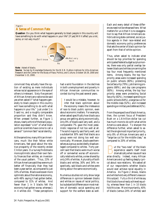## *Figure 1* **A Sense of Common Fate**

**Question**: Do you think what happens generally to black people in this country will have something to do with what happens in your life? [If yes] Will it affect you a lot, some, or not very much?



**Note**: Asked of blacks.

**Source**: Survey by Knowledge Networks for the W.E.B. DuBois Institute for Afro-American Research and the Center for the Study of Race, Politics, and Culture, October 18-29, 2000 and December 1-15, 2000.

convinced they actually have the option of existing as mere individuals whose racial appearance in the eyes of others is irrelevant. Sixty-five percent of African Americans nationwide said yes when asked if "what happens generally to black people in this country will have something to do with what happens in your life." Just under 1 in 5 said no, and a roughly comparable proportion said they didn't know. When pressed further, as Figure 1 shows, nearly a third of the black population expressed "a lot" of what black political scientists have come to call a sense of "common fate" racial identity.

At the same time, many African Americans, much like their fellow white Americans, feel good about the relative prosperity of the recently ended Clinton years. Our survey finds blacks more optimistic about their own family finances than whites, an inversion of the usual pattern. Thus, 23% of African Americans said they were much better off financially than they had been a year earlier, as compared to just 10% of whites. Blacks were even more optimistic about the national economy, with 48% saying it had gotten better, compared to 31% of whites. And fewer than 1 in 5 blacks felt the economy had gotten worse, whereas 1 in 4 whites did. These perceptions

had a solid foundation in the declines in both unemployment and poverty in African American communities recorded during the past several years.

It would be a mistake, however, to<br>infer that black optimism about<br>the economy means the irrelevance<br>of race to black public opinion, even t would be a mistake, however, to infer that black optimism about the economy means the irrelevance about economic matters. For example, when asked specifically how blacks as a group are getting along economically, only 8% of blacks said very well, and a comparable 7% gave the most pessimistic response of not too well at all. The solid majority said fairly well, and a substantial 30% said that blacks as a group were not doing too well economically. Moreover, blacks see themselves as a group as decidedly disadvantaged compared to whites. Forty percent said that blacks were much worse off or somewhat worse off economically relative to whites, a view shared by only 24% of whites. A plurality of both blacks and whites, 30% and 34% respectively, said blacks and whites were doing about the same economically.

Numerous studies not only show large differences in opinion between blacks and whites on issues of racial politics, but substantial differences on most matters of domestic social spending and support for the welfare state as well.

Each and every detail of these differences need not be rehearsed here. What matters for us is that it is no exaggeration to say that African Americans exhibit a strong state-centered, social justice agenda in their race-related and domestic economy policy preferences that sets the center of black opinion far apart from that of white opinion.

Thus, when asked to indicate what should be top priorities for spending anticipated federal budget surplus monies, there was only partial overlap between blacks and whites concerning the top four most frequently mentioned items. Among blacks, the top four priority areas were increased spending on public schools (80%), protecting Social Security (79%), job training programs (68%), and day care programs (60%). Among whites, the top four priority areas were protecting Social Security (82%), increased spending on public schools (64%), a large tax cut for the middle class (52%), and increased spending on military and defense (41%).

From the perspective of black America, then, the current focus of President Bush on a 1.6-trillion-dollar tax cut has much more to do with what white America cares about. To sharpen the difference further, when asked to select the single most important priority, only 8% of African Americans said a "large tax cut for the middle class," as compared to 20% of whites.

**But the "two-ness" of the black**<br>experience asserts itself most<br>dramatically when issues of race<br>arise directly. Indeed, many African experience asserts itself most dramatically when issues of race Americans end up feeling deeply cynical about race relations. We asked all of our respondents whether blacks would ever achieve racial equality in America. As Figure 2 shows, blacks and whites hold very different views on this subject. *Fully a third of whites say that blacks have already achieved equality, whereas fewer than 1 in 10 blacks hold this view*. More importantly, 40% of blacks (versus 24% of whites) said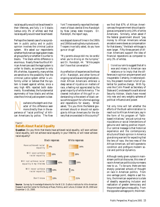racial equality would not be achieved in their lifetimes, and fully 1 in 5 blacks (versus only 3% of whites) said that racial equality would never be achieved.

Perhaps the clearest case of a race problem in public policy and in public opinion involves the criminal justice system. We asked our respondents whether the American legal system treats all groups fairly or whether it is unfair to blacks. The black-white difference is enormous. Nearly three-fourths of African Americans said the legal system is unfair to blacks, as compared to only 8% of whites. Apparently, many whites are sensitive to the possibility that the criminal justice system either is uniformly unfair or believe that the system is biased against whites, since a very high 48% rejected both statements. Nonetheless, the fundamental asymmetry of how blacks and whites view the criminal justice system is clear.

Nowhere is the depth and char-perience of "racial profiling" of Afriacter of this difference seen more directly than in the excan Americans by police. The *New*

*York Times* recently reported the treatment of black dentist Elmo Randolph by New Jersey state troopers. Dr. Randolph, the report says,

*was stopped dozens of times in the 1980s and 1990s traveling the turnpike to work. Troopers invariably asked, do you have guns or drugs?*

*"My parents always told me, be careful when you're driving on the turnpike," said Dr. Randolph, 44. "White people don't have that conversation."*

As a reflection of experiences like those of Dr. Randolph, and other forms of ongoing racial bias and stigmatization, most African Americans embrace a deep sense of injustice on matters of race, a feeling not appreciated by the great majority of white America. The clearest indication of this gulf in understanding is the extent of black versus white support for a formal apology and reparations for slavery. When asked, "Do you think the federal government should or should not apologize to African Americans for the slavery that once existed in this country?"



# **Beliefs About Racial Equality**

**Question**: Do you think that blacks have achieved racial equality, will soon achieve racial equality, will not achieve racial equality in your lifetime, or will never achieve racial equality?



**Source**: Survey by Knowledge Networks for the W.E.B. DuBois Institute for Afro-American Research and the Center for the Study of Race, Politics, and Culture, October 18-29, 2000 and December 1-15, 2000.

we find that 67% of African Americans say the government should apologize as compared to only 24% of white Americans. Similarly, when asked if the federal government should "pay money to African Americans whose ancestors were slaves as compensation for that slavery," the black-white gap is even larger. Fifty-three percent of African Americans support the idea of financial reparations as compared to only 3% of whites.

It is not our aim to suggest that all is<br>woe and misery in American race<br>relations or to imply that the dif-<br>ferences in opinion are permanent and t is not our aim to suggest that all is woe and misery in American race relations or to imply that the difinsuperable. Certainly, in national politics, the present moment is full of potential for positive change. With figures like Colin Powell as Secretary of State and Condoleeza Rice as National Security Advisor, blacks have moved into new and very weighty spheres of political influence and power.

Yet only time will tell whether the efforts of the Bush administration to reach out to African Americans, say in the form of his program of "faithbased initiatives," are just cynical manipulations or social interventions of genuine and lasting positive import. Our central message is that historical experience and the contemporary structure of black opinion in America give strong warrant for expecting that the lens of race, the two-ness of the African American, will still operate to condition and prefigure modern social and political dynamics.

Although rarely given a place in mainstream political discourse, this view of race in American politics is by no means new to us. To be sure, there are two sharply polarized schools of thought on race in American politics. From one vantage point, despite a sad history, the American experience is a tale of steadily expanding inclusion and realization of greater democracy and the promise of genuine equality. From the opposite vantage point, the Ameri